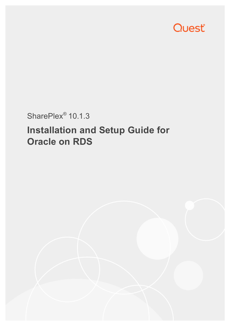

## SharePlex<sup>®</sup> 10.1.3

# **Installation and Setup Guide for Oracle on RDS**

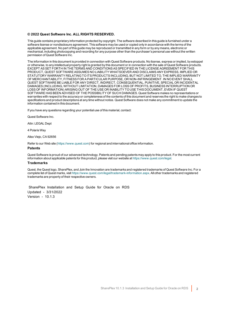### **© 2022 Quest Software Inc. ALL RIGHTS RESERVED.**

This guide contains proprietary information protected by copyright. The software described in this guide is furnished under a software license or nondisclosure agreement. This software may be used or copied only in accordance with the terms of the applicable agreement. No part of this guide may be reproduced or transmitted in any form or by any means, electronic or mechanical, including photocopying and recording for any purpose other than the purchaser's personal use without the written permission of Quest Software Inc.

The information in this document is provided in connection with Quest Software products. No license, express or implied, by estoppel or otherwise, to any intellectual property right is granted by this document or in connection with the sale of Quest Software products. EXCEPT AS SET FORTH IN THE TERMS AND CONDITIONS AS SPECIFIED IN THE LICENSE AGREEMENT FOR THIS PRODUCT, QUEST SOFTWARE ASSUMES NO LIABILITY WHATSOEVER AND DISCLAIMS ANY EXPRESS, IMPLIED OR STATUTORY WARRANTY RELATING TO ITS PRODUCTS INCLUDING, BUT NOT LIMITED TO, THE IMPLIED WARRANTY OF MERCHANTABILITY, FITNESS FOR A PARTICULAR PURPOSE, OR NON-INFRINGEMENT. IN NO EVENT SHALL QUEST SOFTWARE BE LIABLE FOR ANY DIRECT, INDIRECT, CONSEQUENTIAL, PUNITIVE, SPECIAL OR INCIDENTAL DAMAGES (INCLUDING, WITHOUT LIMITATION, DAMAGES FOR LOSS OF PROFITS, BUSINESS INTERRUPTION OR LOSS OF INFORMATION) ARISING OUT OF THE USE OR INABILITY TO USE THIS DOCUMENT, EVEN IF QUEST SOFTWARE HAS BEEN ADVISED OF THE POSSIBILITY OF SUCH DAMAGES. Quest Software makes no representations or warranties with respect to the accuracy or completeness of the contents of this document and reserves the right to make changes to specifications and product descriptions at any time without notice. Quest Software does not make any commitment to update the information contained in this document.

If you have any questions regarding your potential use of this material, contact:

Quest Software Inc.

Attn: LEGAL Dept

4 PolarisWay

Aliso Viejo, CA 92656

Refer to our Web site ([https://www.quest.com](https://www.quest.com/)) for regional and international office information.

### **Patents**

Quest Software is proud of our advanced technology. Patents and pending patents may apply to this product. For the most current information about applicable patents for this product, please visit our website at <https://www.quest.com/legal>.

### **Trademarks**

Quest, the Quest logo, SharePlex, and Join the Innovation are trademarks and registered trademarks of Quest Software Inc. For a complete list of Quest marks, visit <https://www.quest.com/legal/trademark-information.aspx>. All other trademarks and registered trademarks are property of their respective owners.

SharePlex Installation and Setup Guide for Oracle on RDS Updated - 3/31/2022 Version - 10.1.3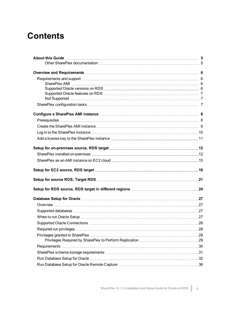## **Contents**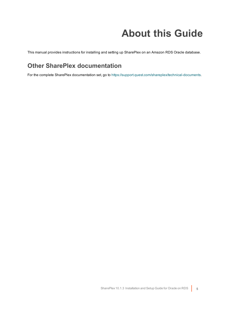# **About this Guide**

<span id="page-4-1"></span><span id="page-4-0"></span>This manual provides instructions for installing and setting up SharePlex on an Amazon RDS Oracle database.

## **Other SharePlex documentation**

For the complete SharePlex documentation set, go to [https://support.quest.com/shareplex/technical-documents.](https://support.quest.com/shareplex/technical-documents)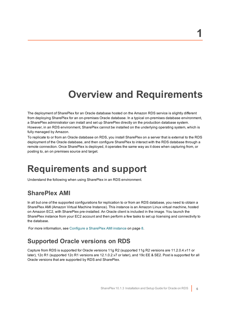## **Overview and Requirements**

<span id="page-5-0"></span>The deployment of SharePlex for an Oracle database hosted on the Amazon RDS service is slightly different from deploying SharePlex for an on-premises Oracle database. In a typical on-premises database environment, a SharePlex administrator can install and set up SharePlex directly on the production database system. However, in an RDS environment, SharePlex cannot be installed on the underlying operating system, which is fully managed by Amazon.

To replicate to or from an Oracle database on RDS, you install SharePlex on a server that is external to the RDS deployment of the Oracle database, and then configure SharePlex to interact with the RDS database through a remote connection. Once SharePlex is deployed, it operates the same way as it does when capturing from, or posting to, an on premises source and target.

## <span id="page-5-1"></span>**Requirements and support**

<span id="page-5-2"></span>Understand the following when using SharePlex in an RDS environment.

## **SharePlex AMI**

In all but one of the supported configurations for replication to or from an RDS database, you need to obtain a SharePlex AMI (Amazon Virtual Machine Instance). This instance is an Amazon Linux virtual machine, hosted on Amazon EC2, with SharePlex pre-installed. An Oracle client is included in the image. You launch the SharePlex instance from your EC2 account and then perform a few tasks to set up licensing and connectivity to the database.

<span id="page-5-3"></span>For more [information,](#page-7-0) see Configure a SharePlex AMI instance on page 8.

## **Supported Oracle versions on RDS**

Capture from RDS is supported for Oracle versions 11g R2 (supported 11g R2 versions are 11.2.0.4.v11 or later), 12c R1 (supported 12c R1 versions are 12.1.0.2.v7 or later), and 19c EE & SE2. Post is supported for all Oracle versions that are supported by RDS and SharePlex.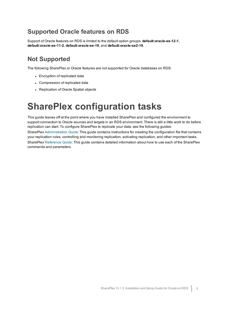## <span id="page-6-0"></span>**Supported Oracle features on RDS**

Support of Oracle features on RDS is limited to the default option groups: **default:oracle-ee-12-1**, **default:oracle-ee-11-2**, **default:oracle-ee-19**, and **default:oracle-se2-19**.

## <span id="page-6-1"></span>**Not Supported**

The following SharePlex or Oracle features are not supported for Oracle databases on RDS:

- Encryption of replicated data
- Compression of replicated data
- <span id="page-6-2"></span>• Replication of Oracle Spatial objects

## **SharePlex configuration tasks**

This guide leaves off at the point where you have installed SharePlex and configured the environment to support connection to Oracle sources and targets in an RDS environment. There is still a little work to do before replication can start. To configure SharePlex to replicate your data, see the following guides:

SharePlex [Administration](https://support.quest.com/shareplex) Guide: This guide contains instructions for creating the configuration file that contains your replication rules, controlling and monitoring replication, activating replication, and other important tasks. SharePlex [Reference](https://support.quest.com/shareplex) Guide: This guide contains detailed information about how to use each of the SharePlex commands and parameters.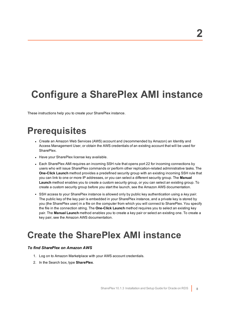# <span id="page-7-0"></span>**Configure a SharePlex AMI instance**

<span id="page-7-1"></span>These instructions help you to create your SharePlex instance.

## **Prerequisites**

- Create an Amazon Web Services (AWS) account and (recommended by Amazon) an Identity and Access Management User, or obtain the AWS credentials of an existing account that will be used for SharePlex.
- Have your SharePlex license key available.
- Each SharePlex AMI requires an incoming SSH rule that opens port 22 for incoming connections by users who will issue SharePlex commands or perform other replication-related administrative tasks. The **One-Click Launch** method provides a predefined security group with an existing incoming SSH rule that you can link to one or more IP addresses, or you can select a different security group. The **Manual Launch** method enables you to create a custom security group, or you can select an existing group. To create a custom security group before you start the launch, see the Amazon AWS documentation.
- <sup>l</sup> SSH access to your SharePlex instance is allowed only by public key authentication using a *key pair*. The public key of the key pair is embedded in your SharePlex instance, and a private key is stored by you (the SharePlex user) in a file on the computer from which you will connect to SharePlex. You specify the file in the connection string. The **One-Click Launch** method requires you to select an existing key pair. The **Manual Launch** method enables you to create a key pair or select an existing one. To create a key pair, see the Amazon AWS documentation.

## <span id="page-7-2"></span>**Create the SharePlex AMI instance**

## *To find SharePlex on Amazon AWS*

- 1. Log on to Amazon Marketplace with your AWS account credentials.
- 2. In the Search box, type **SharePlex**.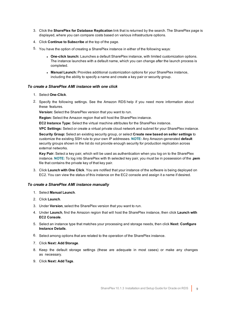- 3. Click the **SharePlex for Database Replication** link that is returned by the search. The SharePlex page is displayed, where you can compare costs based on various infrastructure options.
- 4. Click **Continue to Subscribe** at the top of the page.
- 5. You have the option of creating a SharePlex instance in either of the following ways:
	- <sup>l</sup> **One-click launch:** Launches a default SharePlex instance, with limited customization options. The instance launches with a default name, which you can change after the launch process is completed.
	- <sup>l</sup> **Manual Launch:** Provides additional customization options for your SharePlex instance, including the ability to specify a name and create a key pair or security group.

## *To create a SharePlex AMI instance with one click*

- 1. Select **One-Click**.
- 2. Specify the following settings. See the Amazon RDS help if you need more information about these features.

**Version:** Select the SharePlex version that you want to run.

**Region:** Select the Amazon region that will host the SharePlex instance.

**EC2 Instance Type:** Select the virtual machine attributes for the SharePlex instance.

**VPC Settings:** Select or create a virtual private cloud network and subnet for your SharePlex instance.

**Security Group:** Select an existing security group, or select **Create new based on seller settings** to customize the existing SSH rule to your own IP addresses. **NOTE:** Any Amazon-generated **default** security groups shown in the list do not provide enough security for production replication across external networks.

**Key Pair:** Select a key pair, which will be used as authentication when you log on to the SharePlex instance. **NOTE:** To log into SharePlex with th selected key pair, you must be in possession of the **.pem** file that contains the private key of that key pair.

3. Click **Launch with One Click**. You are notified that your instance of the software is being deployed on EC2. You can view the status of this instance on the EC2 console and assign it a name if desired.

## *To create a SharePlex AMI instance manually*

- 1. Select **Manual Launch**.
- 2. Click **Launch**.
- 3. Under **Version**, select the SharePlex version that you want to run.
- 4. Under **Launch**, find the Amazon region that will host the SharePlex instance, then click **Launch with EC2 Console**.
- 5. Select an instance type that matches your processing and storage needs, then click **Next: Configure Instance Details**.
- 6. Select among options that are related to the operation of the SharePlex instance.
- 7. Click **Next: Add Storage**.
- 8. Keep the default storage settings (these are adequate in most cases) or make any changes as necessary.
- 9. Click **Next: Add Tags**.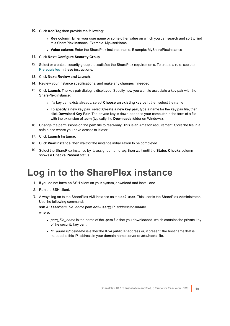- 10. Click **Add Tag** then provide the following:
	- **Key column:** Enter your user name or some other value on which you can search and sort to find this SharePlex instance. Example: MyUserName
	- <sup>l</sup> **Value column**: Enter the SharePlex instance name. Example: MySharePlexInstance
- 11. Click **Next: Configure Security Group**.
- 12. Select or create a security group that satisfies the SharePlex requirements. To create a rule, see the [Prerequisites](#page-7-1) in these instructions.
- 13. Click **Next: Review and Launch**.
- 14. Review your instance specifications, and make any changes if needed.
- 15. Click **Launch**. The key pair dialog is displayed. Specify how you want to associate a key pair with the SharePlex instance:
	- <sup>l</sup> If a key pair exists already, select **Choose an existing key pair**, then select the name.
	- <sup>l</sup> To specify a new key pair, select **Create a new key pair**, type a name for the key pair file, then click **Download Key Pair**. The private key is downloaded to your computer in the form of a file with the extension of **.pem** (typically the **Downloads** folder on Windows).
- 16. Change the permissions on the**.pem** file to read-only. This is an Amazon requirement. Store the file in a safe place where you have access to it later
- 17. Click **Launch Instance**.
- 18. Click **View Instance**, then wait for the instance initialization to be completed.
- <span id="page-9-0"></span>19. Select the SharePlex instance by its assigned name tag, then wait until the **Status Checks** column shows a **Checks Passed** status.

## **Log in to the SharePlex instance**

- 1. If you do not have an SSH client on your system, download and install one.
- 2. Run the SSH client.
- 3. Always log on to the SharePlex AMI instance as the **ec2-user**. This user is the SharePlex Administrator. Use the following command:

**ssh -i ~/.ssh/***pem\_file\_name***.pem ec2-user@***IP\_address/hostname* where:

- <sup>l</sup> *pem\_file\_name* is the name of the **.pem** file that you downloaded, which contains the private key of the security key pair.
- IP address/hostname is either the IPv4 public IP address or, if present, the host name that is mapped to this IP address in your domain name server or **/etc/hosts** file.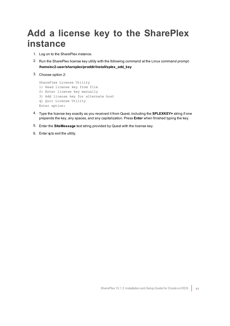## <span id="page-10-0"></span>**Add a license key to the SharePlex instance**

- 1. Log on to the SharePlex instance.
- 2. Run the SharePlex license key utility with the following command at the Linux command prompt: **/home/ec2-user/shareplex/proddir/install/splex\_add\_key**
- 3. Choose option 2:

```
SharePlex License Utility
1) Read license key from file
2) Enter license key manually
3) Add license key for alternate host
q) Quit License Utility
Enter option:
```
- 4. Type the license key exactly as you received it from Quest, including the **SPLEXKEY=** string if one prepends the key, any spaces, and any capitalization. Press **Enter** when finished typing the key.
- 5. Enter the **SiteMessage** text string provided by Quest with the license key.
- 6. Enter **q** to exit the utility.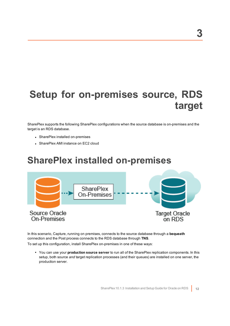# <span id="page-11-0"></span>**Setup for on-premises source, RDS target**

SharePlex supports the following SharePlex configurations when the source database is on-premises and the target is an RDS database.

- SharePlex installed on-premises
- <span id="page-11-1"></span>• SharePlex AMI instance on EC2 cloud

## **SharePlex installed on-premises**



In this scenario, Capture, running on premises, connects to the source database through a **bequeath** connection and the Post process connects to the RDS database through **TNS**.

To set up this configuration, install SharePlex on-premises in one of these ways:

<sup>l</sup> You can use your **production source server** to run all of the SharePlex replication components. In this setup, both source *and* target replication processes (and their queues) are installed on one server, the production server.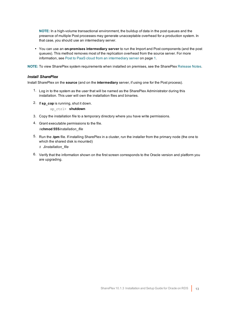**NOTE:** In a high-volume transactional environment, the buildup of data in the post queues and the presence of multiple Post processes may generate unacceptable overhead for a production system. In that case, you should use an intermediary server.

<sup>l</sup> You can use an **on-premises intermediary server** to run the Import and Post components (and the post queues). This method removes most of the replication overhead from the source server. For more information, see Post to PaaS cloud from an intermediary server on page 1.

**NOTE:** To view SharePlex system requirements when installed on premises, see the SharePlex [Release](https://support.quest.com/shareplex) Notes.

### *Install SharePlex*

Install SharePlex on the **source** (and on the **intermediary** server, if using one for the Post process).

- 1. Log in to the system as the user that will be named as the SharePlex Administrator during this installation. This user will own the installation files and binaries.
- 2. If **sp\_cop** is running, shut it down.

sp\_ctrl> **shutdown**

- 3. Copy the installation file to a temporary directory where you have write permissions.
- 4. Grant executable permissions to the file. #**chmod 555***installation\_file*
- 5. Run the **.tpm** file. If installing SharePlex in a cluster, run the installer from the primary node (the one to which the shared disk is mounted)
	- # **./***installation\_file*
- 6. Verify that the information shown on the first screen corresponds to the Oracle version and platform you are upgrading.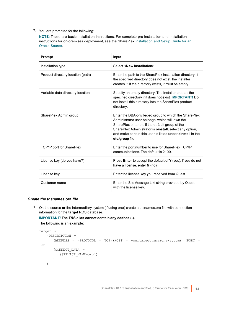## 7. You are prompted for the following:

**NOTE:** These are basic installation instructions. For complete pre-installation and installation instructions for on-premises deployment, see the SharePlex [Installation](https://support.quest.com/shareplex) and Setup Guide for an Oracle [Source](https://support.quest.com/shareplex).

| Prompt                            | <b>Input</b>                                                                                                                                                                                                                                                                                                          |
|-----------------------------------|-----------------------------------------------------------------------------------------------------------------------------------------------------------------------------------------------------------------------------------------------------------------------------------------------------------------------|
| Installation type                 | Select <new installation="">.</new>                                                                                                                                                                                                                                                                                   |
| Product directory location (path) | Enter the path to the SharePlex installation directory. If<br>the specified directory does not exist, the installer<br>creates it. If the directory exists, it must be empty.                                                                                                                                         |
| Variable data directory location  | Specify an empty directory. The installer creates the<br>specified directory if it does not exist. IMPORTANT! Do<br>not install this directory into the SharePlex product<br>directory.                                                                                                                               |
| SharePlex Admin group             | Enter the DBA-privileged group to which the SharePlex<br>Administrator user belongs, which will own the<br>SharePlex binaries. If the default group of the<br>SharePlex Administrator is <b>oinstall</b> , select any option,<br>and make certain this user is listed under <b>oinstall</b> in the<br>etc/group file. |
| <b>TCP/IP port for SharePlex</b>  | Enter the port number to use for SharePlex TCP/IP<br>communications. The default is 2100.                                                                                                                                                                                                                             |
| License key (do you have?)        | Press <b>Enter</b> to accept the default of <b>Y</b> (yes). If you do not<br>have a license, enter N (no).                                                                                                                                                                                                            |
| License key                       | Enter the license key you received from Quest.                                                                                                                                                                                                                                                                        |
| Customer name                     | Enter the SiteMessage text string provided by Quest<br>with the license key.                                                                                                                                                                                                                                          |

## *Create the tnsnames.ora file*

1. On the source **or** the intermediary system (if using one) create a tnsnames.ora file with connection information for the **target** RDS database.

## **IMPORTANT! The TNS alias cannot contain any dashes (-).**

The following is an example:

```
target =
   (DESCRIPTION =
      (ADDRESS = (PROTOCOL = TCP)(HOST = yourtarget.amazonaws.com) (PORT =
1521))
      (CONNECT_DATA =
         (SERVICE_NAME=orcl)
      )
   )
```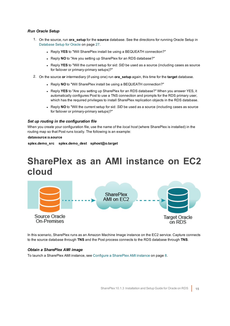## *Run Oracle Setup*

- 1. On the source, run **ora\_setup** for the **source** database. See the directions for running Oracle Setup in [Database](#page-26-0) Setup for Oracle on page 27.
	- **Reply YES** to "Will SharePlex install be using a BEQUEATH connection?"
	- **Reply NO** to "Are you setting up SharePlex for an RDS database?"
	- Reply YES to "Will the current setup for sid: *SID* be used as a source (including cases as source for failover or primary-primary setups)?"
- 2. On the source **or** intermediary (if using one) run **ora\_setup** again, this time for the **target** database.
	- **Reply NO** to "Will SharePlex install be using a BEQUEATH connection?"
	- Reply YES to "Are you setting up SharePlex for an RDS database?" When you answer YES, it automatically configures Post to use a TNS connection and prompts for the RDS primary user, which has the required privileges to install SharePlex replication objects in the RDS database.
	- Reply NO to "Will the current setup for sid: *SID* be used as a source (including cases as source for failover or primary-primary setups)?"

### *Set up routing in the configuration file*

When you create your configuration file, use the name of the *local host* (where SharePlex is installed) in the routing map so that Post runs locally. The following is an example:

### **datasource:o.source**

<span id="page-14-0"></span>**splex.demo\_src splex.demo\_dest sphost@o.target**

## **SharePlex as an AMI instance on EC2 cloud**



In this scenario, SharePlex runs as an Amazon Machine Image instance on the EC2 service. Capture connects to the source database through **TNS** and the Post process connects to the RDS database through **TNS**.

## *Obtain a SharePlex AMI image*

To launch a SharePlex AMI instance, see Configure a [SharePlex](#page-7-0) AMI instance on page 8.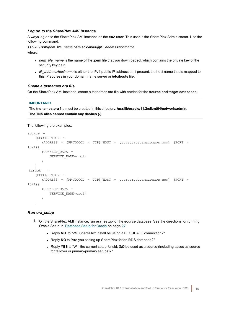### *Log on to the SharePlex AMI instance*

Always log on to the SharePlex AMI instance as the **ec2-user**. This user is the SharePlex Administrator. Use the following command:

**ssh -i ~/.ssh/***pem\_file\_name***.pem ec2-user@***IP\_address/hostname* where:

- pem\_file\_name is the name of the **.pem** file that you downloaded, which contains the private key of the security key pair.
- IP address/hostname is either the IPv4 public IP address or, if present, the host name that is mapped to this IP address in your domain name server or **/etc/hosts** file.

### *Create a tnsnames.ora file*

On the SharePlex AMI instance, create a tnsnames.ora file with entries for the **source and target databases**.

### **IMPORTANT!**

The **tnsnames.ora** file must be created in this directory: **/usr/lib/oracle/11.2/client64/network/admin**. **The TNS alias cannot contain any dashes (-).**

The following are examples:

```
source =
   (DESCRIPTION =
      (ADDRESS = (PROTOCOL = TCP)(HOST = yoursource.amazonaws.com) (PORT =
1521))
      (CONNECT_DATA =
         (SERVICE_NAME=orcl)
      )
   )
target =
   (DESCRIPTION =
      (ADDRESS = (PROTOCOL = TCP)(HOST = yourtarget.amazonaws.com) (PORT =
1521))
      (CONNECT_DATA =
         (SERVICE_NAME=orcl)
      )
   )
```
### *Run ora\_setup*

- 1. On the SharePlex AMI instance, run **ora\_setup** for the **source** database. See the directions for running Oracle Setup in [Database](#page-26-0) Setup for Oracle on page 27.
	- Reply **NO** to "Will SharePlex install be using a BEQUEATH connection?"
	- **.** Reply NO to "Are you setting up SharePlex for an RDS database?"
	- Reply YES to "Will the current setup for sid: *SID* be used as a source (including cases as source for failover or primary-primary setups)?"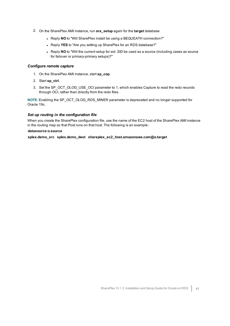- 2. On the SharePlex AMI instance, run **ora\_setup** again for the **target** database.
	- Reply NO to "Will SharePlex install be using a BEQUEATH connection?"
	- **Reply YES** to "Are you setting up SharePlex for an RDS database?"
	- Reply **NO** to "Will the current setup for sid: *SID* be used as a source (including cases as source for failover or primary-primary setups)?"

### *Configure remote capture*

- 1. On the SharePlex AMI instance, start **sp\_cop**.
- 2. Start **sp\_ctrl**.
- 3. Set the SP\_OCT\_OLOG\_USE\_OCI parameter to 1, which enables Capture to read the redo records through OCI, rather than directly from the redo files.

**NOTE**: Enabling the SP\_OCT\_OLOG\_RDS\_MINER parameter is deprecated and no longer supported for Oracle 19c.

### *Set up routing in the configuration file*

When you create the SharePlex configuration file, use the name of the EC2 host of the SharePlex AMI instance in the routing map so that Post runs on that host. The following is an example:

### **datasource:o.source**

**splex.demo\_src splex.demo\_dest shareplex\_ec2\_host.amazonaws.com@o.target**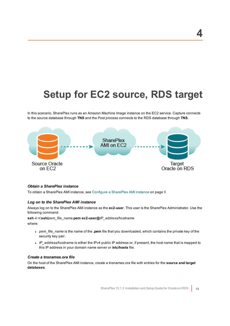# <span id="page-17-0"></span>**Setup for EC2 source, RDS target**

In this scenario, SharePlex runs as an Amazon Machine Image instance on the EC2 service. Capture connects to the source database through **TNS** and the Post process connects to the RDS database through **TNS**.



## *Obtain a SharePlex instance*

To obtain a SharePlex AMI instance, see Configure a [SharePlex](#page-7-0) AMI instance on page 8

## *Log on to the SharePlex AMI instance*

Always log on to the SharePlex AMI instance as the **ec2-user**. This user is the SharePlex Administrator. Use the following command:

### **ssh -i ~/.ssh/***pem\_file\_name***.pem ec2-user@***IP\_address/hostname*

where:

- <sup>l</sup> *pem\_file\_name* is the name of the **.pem** file that you downloaded, which contains the private key of the security key pair.
- <sup>l</sup> *IP\_address/hostname* is either the IPv4 public IP address or, if present, the host name that is mapped to this IP address in your domain name server or **/etc/hosts** file.

## *Create a tnsnames.ora file*

On the host of the SharePlex AMI instance, create a tnsnames.ora file with entries for the **source and target databases**.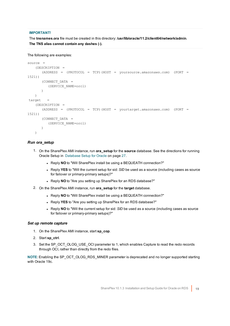## **IMPORTANT!**

The **tnsnames.ora** file must be created in this directory: **/usr/lib/oracle/11.2/client64/network/admin**. **The TNS alias cannot contain any dashes (-).**

```
The following are examples:
```

```
source =
   (DESCRIPTION =
      (ADDRESS = (PROTOCOL = TCP)(HOST = yoursource.amazonaws.com) (PORT =
1521))
      (CONNECT_DATA =
         (SERVICE_NAME=orcl)
      )
   )
\text{target} =
   (DESCRIPTION =
      (ADDRESS = (PROTOCOL = TCP)(HOST = yourtarget.amazonaws.com) (PORT =
1521))
      (CONNECT_DATA =
         (SERVICE_NAME=orcl)
      )
   )
```
## *Run ora\_setup*

- 1. On the SharePlex AMI instance, run **ora\_setup** for the **source** database. See the directions for running Oracle Setup in [Database](#page-26-0) Setup for Oracle on page 27.
	- . Reply NO to "Will SharePlex install be using a BEQUEATH connection?"
	- Reply YES to "Will the current setup for sid: *SID* be used as a source (including cases as source for failover or primary-primary setups)?"
	- Reply NO to "Are you setting up SharePlex for an RDS database?"
- 2. On the SharePlex AMI instance, run **ora\_setup** for the **target** database.
	- Reply NO to "Will SharePlex install be using a BEQUEATH connection?"
	- **.** Reply **YES** to "Are you setting up SharePlex for an RDS database?"
	- Reply NO to "Will the current setup for sid: *SID* be used as a source (including cases as source for failover or primary-primary setups)?"

## *Set up remote capture*

- 1. On the SharePlex AMI instance, start **sp\_cop**.
- 2. Start **sp\_ctrl**.
- 3. Set the SP\_OCT\_OLOG\_USE\_OCI parameter to 1, which enables Capture to read the redo records through OCI, rather than directly from the redo files.

**NOTE**: Enabling the SP\_OCT\_OLOG\_RDS\_MINER parameter is deprecated and no longer supported starting with Oracle 19c.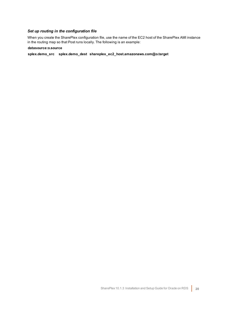## *Set up routing in the configuration file*

When you create the SharePlex configuration file, use the name of the EC2 host of the SharePlex AMI instance in the routing map so that Post runs locally. The following is an example:

### **datasource:o.source**

**splex.demo\_src splex.demo\_dest shareplex\_ec2\_host.amazonaws.com@o.target**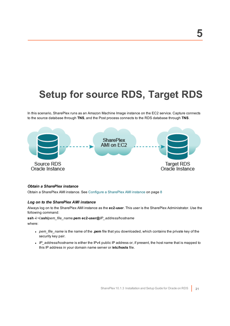# <span id="page-20-0"></span>**Setup for source RDS, Target RDS**

In this scenario, SharePlex runs as an Amazon Machine Image instance on the EC2 service. Capture connects to the source database through **TNS**, and the Post process connects to the RDS database through **TNS**.



## *Obtain a SharePlex instance*

Obtain a SharePlex AMI instance. See Configure a [SharePlex](#page-7-0) AMI instance on page 8

### *Log on to the SharePlex AMI instance*

Always log on to the SharePlex AMI instance as the **ec2-user**. This user is the SharePlex Administrator. Use the following command:

### **ssh -i ~/.ssh/***pem\_file\_name***.pem ec2-user@***IP\_address/hostname*

where:

- <sup>l</sup> *pem\_file\_name* is the name of the **.pem** file that you downloaded, which contains the private key of the security key pair.
- <sup>l</sup> *IP\_address/hostname* is either the IPv4 public IP address or, if present, the host name that is mapped to this IP address in your domain name server or **/etc/hosts** file.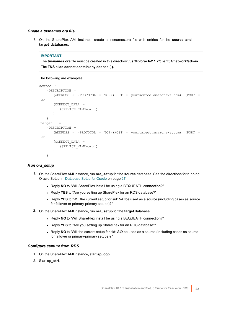### *Create a tnsnames.ora file*

1. On the SharePlex AMI instance, create a tnsnames.ora file with entries for the **source and target databases**.

### **IMPORTANT!**

The **tnsnames.ora** file must be created in this directory: **/usr/lib/oracle/11.2/client64/network/admin**. **The TNS alias cannot contain any dashes (-).**

The following are examples:

```
source =
   (DESCRIPTION =
      (ADDRESS = (PROTOCOL = TCP)(HOST = yoursource.amazonaws.com) (PORT =
1521))
      (CONNECT_DATA =
        (SERVICE_NAME=orcl)
      )
   )
target =(DESCRIPTION =
      (ADDRESS = (PROTOCOL = TCP)(HOST = yourtarget.amazonaws.com) (PORT =
1521))
      (CONNECT_DATA =
         (SERVICE_NAME=orcl)
      )
   \lambda
```
## *Run ora\_setup*

- 1. On the SharePlex AMI instance, run **ora\_setup** for the **source** database. See the directions for running Oracle Setup in [Database](#page-26-0) Setup for Oracle on page 27.
	- . Reply NO to "Will SharePlex install be using a BEQUEATH connection?"
	- Reply YES to "Are you setting up SharePlex for an RDS database?"
	- Reply YES to "Will the current setup for sid: *SID* be used as a source (including cases as source for failover or primary-primary setups)?"
- 2. On the SharePlex AMI instance, run **ora\_setup** for the **target** database.
	- . Reply **NO** to "Will SharePlex install be using a BEQUEATH connection?"
	- **.** Reply YES to "Are you setting up SharePlex for an RDS database?"
	- Reply NO to "Will the current setup for sid: SID be used as a source (including cases as source for failover or primary-primary setups)?"

## *Configure capture from RDS*

- 1. On the SharePlex AMI instance, start **sp\_cop**.
- 2. Start **sp\_ctrl**.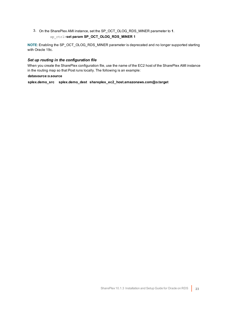3. On the SharePlex AMI instance, set the SP\_OCT\_OLOG\_RDS\_MINER parameter to **1**. sp\_ctrl>**set param SP\_OCT\_OLOG\_RDS\_MINER 1**

**NOTE:** Enabling the SP\_OCT\_OLOG\_RDS\_MINER parameter is deprecated and no longer supported starting with Oracle 19c.

## *Set up routing in the configuration file*

When you create the SharePlex configuration file, use the name of the EC2 host of the SharePlex AMI instance in the routing map so that Post runs locally. The following is an example:

## **datasource:o.source**

**splex.demo\_src splex.demo\_dest shareplex\_ec2\_host.amazonaws.com@o.target**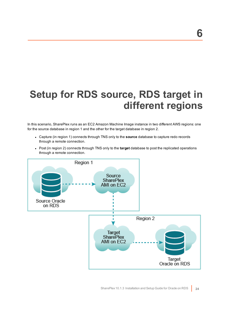# <span id="page-23-0"></span>**Setup for RDS source, RDS target in different regions**

In this scenario, SharePlex runs as an EC2 Amazon Machine Image instance in two different AWS regions: one for the source database in region 1 and the other for the target database in region 2.

- <sup>l</sup> Capture (in region 1) connects through TNS only to the **source** database to capture redo records through a remote connection.
- Post (in region 2) connects through TNS only to the **target** database to post the replicated operations through a remote connection.

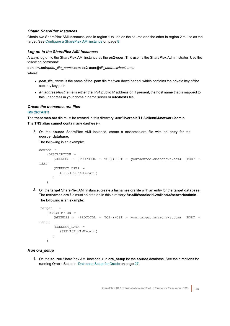## *Obtain SharePlex instances*

Obtain two SharePlex AMI instances, one in region 1 to use as the source and the other in region 2 to use as the target. See Configure a [SharePlex](#page-7-0) AMI instance on page 8.

### *Log on to the SharePlex AMI instances*

Always log on to the SharePlex AMI instance as the **ec2-user**. This user is the SharePlex Administrator. Use the following command:

**ssh -i ~/.ssh/***pem\_file\_name***.pem ec2-user@***IP\_address/hostname*

where:

- <sup>l</sup> *pem\_file\_name* is the name of the **.pem** file that you downloaded, which contains the private key of the security key pair.
- IP\_address/hostname is either the IPv4 public IP address or, if present, the host name that is mapped to this IP address in your domain name server or **/etc/hosts** file.

### *Create the tnsnames.ora files*

## **IMPORTANT!**

The **tnsnames.ora** file must be created in this directory: **/usr/lib/oracle/11.2/client64/network/admin**. **The TNS alias cannot contain any dashes (-).**

1. On the **source** SharePlex AMI instance, create a tnsnames.ora file with an entry for the **source database**.

The following is an example:

```
source =
   (DESCRIPTION =
      (ADDRESS = (PROTOCOL = TCP)(HOST = yoursource.amazonaws.com) (PORT =
1521))
      (CONNECT_DATA =
          (SERVICE_NAME=orcl)
      )
   )
```
2. On the **target** SharePlex AMI instance, create a tnsnames.ora file with an entry for the **target database**. The **tnsnames.ora** file must be created in this directory: **/usr/lib/oracle/11.2/client64/network/admin**. The following is an example:

```
target =
   (DESCRIPTION =
      (ADDRESS = (PROTOCOL = TCP)(HOST = yourtarget.amazonaws.com) (PORT =
1521))
      (CONNECT_DATA =
          (SERVICE_NAME=orcl)
      )
   \lambda
```
## *Run ora\_setup*

1. On the **source** SharePlex AMI instance, run **ora\_setup** for the **source** database. See the directions for running Oracle Setup in [Database](#page-26-0) Setup for Oracle on page 27.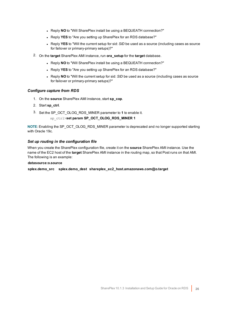- Reply **NO** to "Will SharePlex install be using a BEQUEATH connection?"
- **.** Reply **YES** to "Are you setting up SharePlex for an RDS database?"
- Reply YES to "Will the current setup for sid: *SID* be used as a source (including cases as source for failover or primary-primary setups)?"
- 2. On the **target** SharePlex AMI instance, run **ora\_setup** for the **target** database.
	- **Reply NO** to "Will SharePlex install be using a BEQUEATH connection?"
	- **.** Reply **YES** to "Are you setting up SharePlex for an RDS database?"
	- Reply NO to "Will the current setup for sid: *SID* be used as a source (including cases as source for failover or primary-primary setups)?"

## *Configure capture from RDS*

- 1. On the **source** SharePlex AMI instance, start **sp\_cop**.
- 2. Start **sp\_ctrl**.
- 3. Set the SP\_OCT\_OLOG\_RDS\_MINER parameter to **1** to enable it.

### sp\_ctrl>**set param SP\_OCT\_OLOG\_RDS\_MINER 1**

**NOTE**: Enabling the SP\_OCT\_OLOG\_RDS\_MINER parameter is deprecated and no longer supported starting with Oracle 19c.

## *Set up routing in the configuration file*

When you create the SharePlex configuration file, create it on the **source** SharePlex AMI instance. Use the name of the EC2 host of the **target** SharePlex AMI instance in the routing map, so that Post runs on that AMI. The following is an example:

### **datasource:o.source**

**splex.demo\_src splex.demo\_dest shareplex\_ec2\_host.amazonaws.com@o.target**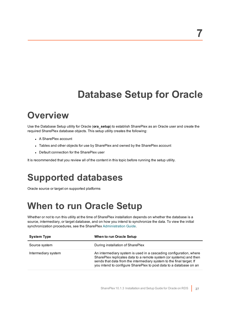# **Database Setup for Oracle**

## <span id="page-26-1"></span><span id="page-26-0"></span>**Overview**

Use the Database Setup utility for Oracle (**ora\_setup**) to establish SharePlex as an Oracle user and create the required SharePlex database objects. This setup utility creates the following:

- A SharePlex account
- Tables and other objects for use by SharePlex and owned by the SharePlex account
- Default connection for the SharePlex user

<span id="page-26-2"></span>It is recommended that you review all of the content in this topic before running the setup utility.

## **Supported databases**

<span id="page-26-3"></span>Oracle source or target on supported platforms

## **When to run Oracle Setup**

Whether or not to run this utility at the time of SharePlex installation depends on whether the database is a source, intermediary, or target database, and on how you intend to synchronize the data. To view the initial synchronization procedures, see the SharePlex [Administration](https://support.quest.com/shareplex) Guide.

| <b>System Type</b>  | When to run Oracle Setup                                                                                                                                                                                                                                                               |
|---------------------|----------------------------------------------------------------------------------------------------------------------------------------------------------------------------------------------------------------------------------------------------------------------------------------|
| Source system       | During installation of SharePlex                                                                                                                                                                                                                                                       |
| Intermediary system | An intermediary system is used in a cascading configuration, where<br>SharePlex replicates data to a remote system (or systems) and then<br>sends that data from the intermediary system to the final target. If<br>you intend to configure SharePlex to post data to a database on an |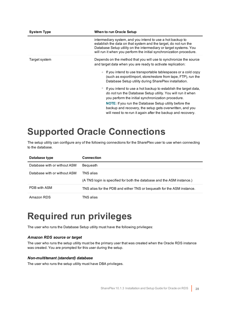| <b>System Type</b> | When to run Oracle Setup                                                                                                                                                                                                                                                                                                                                                                                                                                                                                                                                                                                                                                                                                                    |
|--------------------|-----------------------------------------------------------------------------------------------------------------------------------------------------------------------------------------------------------------------------------------------------------------------------------------------------------------------------------------------------------------------------------------------------------------------------------------------------------------------------------------------------------------------------------------------------------------------------------------------------------------------------------------------------------------------------------------------------------------------------|
|                    | intermediary system, and you intend to use a hot backup to<br>establish the data on that system and the target, do not run the<br>Database Setup utility on the intermediary or target systems. You<br>will run it when you perform the initial synchronization procedure.                                                                                                                                                                                                                                                                                                                                                                                                                                                  |
| Target system      | Depends on the method that you will use to synchronize the source<br>and target data when you are ready to activate replication:<br>If you intend to use transportable tablespaces or a cold copy<br>(such as export/import, store/restore from tape, FTP), run the<br>Database Setup utility during SharePlex installation.<br>If you intend to use a hot backup to establish the target data,<br>$\circ$<br>do not run the Database Setup utility. You will run it when<br>you perform the initial synchronization procedure.<br><b>NOTE:</b> If you run the Database Setup utility before the<br>backup and recovery, the setup gets overwritten, and you<br>will need to re-run it again after the backup and recovery. |

## <span id="page-27-0"></span>**Supported Oracle Connections**

The setup utility can configure any of the following connections for the SharePlex user to use when connecting to the database.

| Database type                | <b>Connection</b>                                                                   |
|------------------------------|-------------------------------------------------------------------------------------|
| Database with or without ASM | Bequeath                                                                            |
| Database with or without ASM | TNS alias<br>(A TNS login is specified for both the database and the ASM instance.) |
| PDB with ASM                 | TNS alias for the PDB and either TNS or bequeath for the ASM instance.              |
| Amazon RDS                   | TNS alias                                                                           |

## <span id="page-27-1"></span>**Required run privileges**

The user who runs the Database Setup utility must have the following privileges:

## *Amazon RDS source or target*

The user who runs the setup utility must be the primary user that was created when the Oracle RDS instance was created. You are prompted for this user during the setup.

## *Non-multitenant (standard) database*

The user who runs the setup utility must have DBA privileges.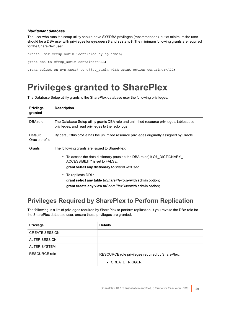## *Multitenant database*

The user who runs the setup utility should have SYSDBA privileges (recommended), but at minimum the user should be a DBA user with privileges for **sys.users\$** and **sys.enc\$**. The minimum following grants are required for the SharePlex user:

```
create user c##sp_admin identified by sp_admin;
grant dba to c##sp admin container=ALL;
grant select on sys.user$ to c##sp_admin with grant option container=ALL;
```
## <span id="page-28-0"></span>**Privileges granted to SharePlex**

The Database Setup utility grants to the SharePlex database user the following privileges.

| <b>Privilege</b><br>granted | <b>Description</b>                                                                                                                                                                                                                                                                                                                                                        |
|-----------------------------|---------------------------------------------------------------------------------------------------------------------------------------------------------------------------------------------------------------------------------------------------------------------------------------------------------------------------------------------------------------------------|
| DBA role                    | The Database Setup utility grants DBA role and unlimited resource privileges, tablespace<br>privileges, and read privileges to the redo logs.                                                                                                                                                                                                                             |
| Default<br>Oracle profile   | By default this profile has the unlimited resource privileges originally assigned by Oracle.                                                                                                                                                                                                                                                                              |
| Grants                      | The following grants are issued to SharePlex:<br>• To access the data dictionary (outside the DBA roles) if O7 DICTIONARY<br>ACCESSIBILITY is set to FALSE:<br>grant select any dictionary to Share PlexUser;<br>• To replicate DDL:<br>grant select any table to <i>Share Plex User</i> with admin option;<br>grant create any view to Share PlexUser with admin option; |

## <span id="page-28-1"></span>**Privileges Required by SharePlex to Perform Replication**

The following is a list of privileges required by SharePlex to perform replication. If you revoke the DBA role for the SharePlex database user, ensure these privileges are granted.

| <b>Privilege</b>      | <b>Details</b>                                                      |
|-----------------------|---------------------------------------------------------------------|
| <b>CREATE SESSION</b> |                                                                     |
| <b>ALTER SESSION</b>  |                                                                     |
| <b>ALTER SYSTEM</b>   |                                                                     |
| RESOURCE role         | RESOURCE role privileges required by SharePlex:<br>• CREATE TRIGGER |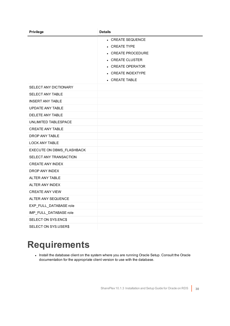| <b>Privilege</b>          | <b>Details</b>         |
|---------------------------|------------------------|
|                           | • CREATE SEQUENCE      |
|                           | • CREATE TYPE          |
|                           | • CREATE PROCEDURE     |
|                           | • CREATE CLUSTER       |
|                           | • CREATE OPERATOR      |
|                           | • CREATE INDEXTYPE     |
|                           | $\bullet$ CREATE TABLE |
| SELECT ANY DICTIONARY     |                        |
| SELECT ANY TABLE          |                        |
| <b>INSERT ANY TABLE</b>   |                        |
| <b>UPDATE ANY TABLE</b>   |                        |
| DELETE ANY TABLE          |                        |
| UNLIMITED TABLESPACE      |                        |
| <b>CREATE ANY TABLE</b>   |                        |
| DROP ANY TABLE            |                        |
| <b>LOCK ANY TABLE</b>     |                        |
| EXECUTE ON DBMS_FLASHBACK |                        |
| SELECT ANY TRANSACTION    |                        |
| <b>CREATE ANY INDEX</b>   |                        |
| DROP ANY INDEX            |                        |
| ALTER ANY TABLE           |                        |
| ALTER ANY INDEX           |                        |
| <b>CREATE ANY VIEW</b>    |                        |
| ALTER ANY SEQUENCE        |                        |
| EXP_FULL_DATABASE role    |                        |
| IMP_FULL_DATABASE role    |                        |
| SELECT ON SYS.ENC\$       |                        |
| SELECT ON SYS.USER\$      |                        |

## <span id="page-29-0"></span>**Requirements**

. Install the database client on the system where you are running Oracle Setup. Consult the Oracle documentation for the appropriate client version to use with the database.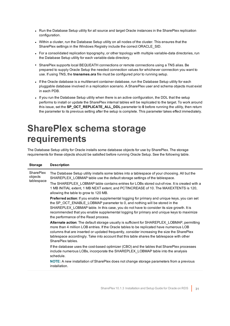- Run the Database Setup utility for all source and target Oracle instances in the SharePlex replication configuration.
- Within a cluster, run the Database Setup utility on all nodes of the cluster. This ensures that the SharePlex settings in the Windows Registry include the correct ORACLE\_SID.
- For a consolidated replication topography, or other topology with multiple variable-data directories, run the Database Setup utility for each variable-data directory.
- SharePlex supports local BEQUEATH connections or remote connections using a TNS alias. Be prepared to supply Oracle Setup the needed connection values for whichever connection you want to use. If using TNS, the **tnsnames.ora** file must be configured prior to running setup.
- <sup>l</sup> If the Oracle database is a multitenant container database, run the Database Setup utility for each pluggable database involved in a replication scenario. A SharePlex user and schema objects must exist in each PDB.
- If you run the Database Setup utility when there is an active configuration, the DDL that the setup performs to install or update the SharePlex internal tables will be replicated to the target. To work around this issue, set the **SP\_OCT\_REPLICATE\_ALL\_DDL** parameter to **0** before running the utility, then return the parameter to its previous setting after the setup is complete. This parameter takes effect immediately.

## <span id="page-30-0"></span>**SharePlex schema storage requirements**

The Database Setup utility for Oracle installs some database objects for use by SharePlex. The storage requirements for these objects should be satisfied before running Oracle Setup. See the following table.

| <b>Storage</b>                            | <b>Description</b>                                                                                                                                                                                                                                                                                                                                                                                                 |
|-------------------------------------------|--------------------------------------------------------------------------------------------------------------------------------------------------------------------------------------------------------------------------------------------------------------------------------------------------------------------------------------------------------------------------------------------------------------------|
| <b>SharePlex</b><br>objects<br>tablespace | The Database Setup utility installs some tables into a tablespace of your choosing. All but the<br>SHAREPLEX_LOBMAP table use the default storage settings of the tablespace.                                                                                                                                                                                                                                      |
|                                           | The SHAREPLEX LOBMAP table contains entries for LOBs stored out-of-row. It is created with a<br>1 MB INITIAL extent, 1 MB NEXT extent, and PCTINCREASE of 10. The MAXEXTENTS is 120,<br>allowing the table to grow to 120 MB.                                                                                                                                                                                      |
|                                           | <b>Preferred action:</b> If you enable supplemental logging for primary and unique keys, you can set<br>the SP OCT ENABLE LOBMAP parameter to 0, and nothing will be stored in the<br>SHAREPLEX LOBMAP table. In this case, you do not have to consider its size growth. It is<br>recommended that you enable supplemental logging for primary and unique keys to maximize<br>the performance of the Read process. |
|                                           | Alternate action: The default storage usually is sufficient for SHAREPLEX_LOBMAP, permitting<br>more than 4 million LOB entries. If the Oracle tables to be replicated have numerous LOB<br>columns that are inserted or updated frequently, consider increasing the size the SharePlex<br>tablespace accordingly. Take into account that this table shares the tablespace with other<br>SharePlex tables          |
|                                           | If the database uses the cost-based optimizer (CBO) and the tables that SharePlex processes<br>include numerous LOBs, incorporate the SHAREPLEX LOBMAP table into the analysis<br>schedule.                                                                                                                                                                                                                        |
|                                           | NOTE: A new installation of SharePlex does not change storage parameters from a previous<br>installation.                                                                                                                                                                                                                                                                                                          |
|                                           |                                                                                                                                                                                                                                                                                                                                                                                                                    |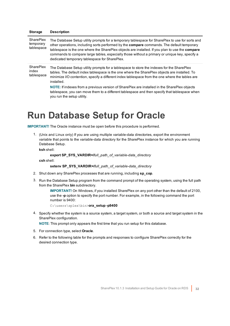| <b>Storage</b>                              | <b>Description</b>                                                                                                                                                                                                                                                                                                                                                                                                                                                |
|---------------------------------------------|-------------------------------------------------------------------------------------------------------------------------------------------------------------------------------------------------------------------------------------------------------------------------------------------------------------------------------------------------------------------------------------------------------------------------------------------------------------------|
| <b>SharePlex</b><br>temporary<br>tablespace | The Database Setup utility prompts for a temporary tablespace for SharePlex to use for sorts and<br>other operations, including sorts performed by the <b>compare</b> commands. The default temporary<br>tablespace is the one where the SharePlex objects are installed. If you plan to use the <b>compare</b><br>commands to compare large tables, especially those without a primary or unique key, specify a<br>dedicated temporary tablespace for SharePlex. |
| <b>SharePlex</b><br>index<br>tablespace     | The Database Setup utility prompts for a tablespace to store the indexes for the SharePlex<br>tables. The default index tablespace is the one where the SharePlex objects are installed. To<br>minimize I/O contention, specify a different index tablespace from the one where the tables are<br>installed.<br>NOTE: If indexes from a previous version of SharePlex are installed in the SharePlex objects                                                      |
|                                             | tablespace, you can move them to a different tablespace and then specify that tablespace when<br>you run the setup utility.                                                                                                                                                                                                                                                                                                                                       |

## <span id="page-31-0"></span>**Run Database Setup for Oracle**

**IMPORTANT!** The Oracle instance must be open before this procedure is performed.

1. (Unix and Linux only) If you are using multiple variable-data directories, export the environment variable that points to the variable-data directory for the SharePlex instance for which you are running Database Setup.

**ksh** shell:

```
export SP_SYS_VARDIR=/full_path_of_variable-data_directory
```
**csh** shell:

```
setenv SP_SYS_VARDIR=/full_path_of_variable-data_directory
```
- 2. Shut down any SharePlex processes that are running, including **sp\_cop**.
- 3. Run the Database Setup program from the command prompt of the operating system, using the full path from the SharePlex **bin** subdirectory.

**IMPORTANT!** On Windows, if you installed SharePlex on any port other than the default of 2100, use the **-p** option to specify the port number. For example, in the following command the port number is 9400:

```
C:\users\splex\bin>ora_setup -p9400
```
4. Specify whether the system is a source system, a target system, or both a source and target system in the SharePlex configuration.

**NOTE**: This prompt only appears the first time that you run setup for this database.

- 5. For connection type, select **Oracle**.
- 6. Refer to the following table for the prompts and responses to configure SharePlex correctly for the desired connection type.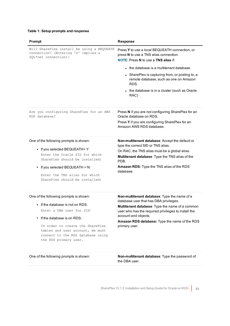## **Table 1: Setup prompts and response**

| Prompt                                                                                                                                                                                                                                                                              | <b>Response</b>                                                                                                                                                                                                                                                                            |
|-------------------------------------------------------------------------------------------------------------------------------------------------------------------------------------------------------------------------------------------------------------------------------------|--------------------------------------------------------------------------------------------------------------------------------------------------------------------------------------------------------------------------------------------------------------------------------------------|
| Will SharePlex install be using a BEQUEATH<br>connection? (Entering 'n' implies a<br>SQL*net connection):                                                                                                                                                                           | Press Y to use a local BEQUEATH connection, or<br>press N to use a TNS alias connection.<br><b>NOTE: Press N to use a TNS alias if:</b>                                                                                                                                                    |
|                                                                                                                                                                                                                                                                                     | • the database is a multitenant database                                                                                                                                                                                                                                                   |
|                                                                                                                                                                                                                                                                                     | • SharePlex is capturing from, or posting to, a<br>remote database, such as one on Amazon<br>RDS.                                                                                                                                                                                          |
|                                                                                                                                                                                                                                                                                     | • the database is in a cluster (such as Oracle<br>RAC)                                                                                                                                                                                                                                     |
| Are you configuring SharePlex for an AWS<br>RDS database?                                                                                                                                                                                                                           | Press N if you are not configuring SharePlex for an<br>Oracle database on RDS.                                                                                                                                                                                                             |
|                                                                                                                                                                                                                                                                                     | Press Y if you are configuring SharePlex for an<br>Amazon AWS RDS database.                                                                                                                                                                                                                |
| One of the following prompts is shown:<br>• If you selected BEQUEATH= Y:<br>Enter the Oracle SID for which<br>SharePlex should be installed:<br>• If you selected BEQUEATH = N:<br>Enter the TNS alias for which<br>SharePlex should be installed:                                  | Non-multitenant database: Accept the default or<br>type the correct SID or TNS alias.<br>On RAC, the TNS alias must be a global alias.<br>Multitenant database: Type the TNS alias of the<br>PDB.<br>Amazon RDS: Type the TNS alias of the RDS<br>database.                                |
| One of the following prompts is shown:<br>$\bullet$ If the database is not on RDS:<br>Enter a DBA user for SID:<br>If the database is on RDS:<br>In order to create the SharePlex<br>tables and user account, we must<br>connect to the RDS database using<br>the RDS primary user. | Non-multitenant database: Type the name of a<br>database user that has DBA privileges.<br>Multitenant database: Type the name of a common<br>user who has the required privileges to install the<br>account and objects.<br>Amazon RDS database: Type the name of the RDS<br>primary user. |

One of the following prompts is shown: **Non-multitenant database**: Type the password of the DBA user.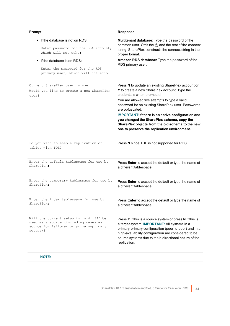| Prompt                                                                                                                               | <b>Response</b>                                                                                                                                                                                                                                                                                                                                                                                                                                                           |
|--------------------------------------------------------------------------------------------------------------------------------------|---------------------------------------------------------------------------------------------------------------------------------------------------------------------------------------------------------------------------------------------------------------------------------------------------------------------------------------------------------------------------------------------------------------------------------------------------------------------------|
| • If the database is not on RDS:                                                                                                     | Multitenant database: Type the password of the                                                                                                                                                                                                                                                                                                                                                                                                                            |
| Enter password for the DBA account,                                                                                                  | common user. Omit the @ and the rest of the connect                                                                                                                                                                                                                                                                                                                                                                                                                       |
| which will not echo:                                                                                                                 | string. SharePlex constructs the connect string in the                                                                                                                                                                                                                                                                                                                                                                                                                    |
| If the database is on RDS:                                                                                                           | proper format.                                                                                                                                                                                                                                                                                                                                                                                                                                                            |
| Enter the password for the RDS                                                                                                       | Amazon RDS database: Type the password of the                                                                                                                                                                                                                                                                                                                                                                                                                             |
| primary user, which will not echo.                                                                                                   | RDS primary user.                                                                                                                                                                                                                                                                                                                                                                                                                                                         |
| Current SharePlex user is user.<br>Would you like to create a new SharePlex<br>user?                                                 | Press N to update an existing SharePlex account or<br>Y to create a new SharePlex account. Type the<br>credentials when prompted.<br>You are allowed five attempts to type a valid<br>password for an existing SharePlex user. Passwords<br>are obfuscated.<br><b>IMPORTANT!If there is an active configuration and</b><br>you changed the SharePlex schema, copy the<br>SharePlex objects from the old schema to the new<br>one to preserve the replication environment. |
| Do you want to enable replication of<br>tables with TDE?                                                                             | Press N since TDE is not supported for RDS.                                                                                                                                                                                                                                                                                                                                                                                                                               |
| Enter the default tablespace for use by                                                                                              | Press Enter to accept the default or type the name of                                                                                                                                                                                                                                                                                                                                                                                                                     |
| SharePlex:                                                                                                                           | a different tablespace.                                                                                                                                                                                                                                                                                                                                                                                                                                                   |
| Enter the temporary tablespace for use by                                                                                            | Press Enter to accept the default or type the name of                                                                                                                                                                                                                                                                                                                                                                                                                     |
| SharePlex:                                                                                                                           | a different tablespace.                                                                                                                                                                                                                                                                                                                                                                                                                                                   |
| Enter the index tablespace for use by                                                                                                | Press Enter to accept the default or type the name of                                                                                                                                                                                                                                                                                                                                                                                                                     |
| SharePlex:                                                                                                                           | a different tablespace.                                                                                                                                                                                                                                                                                                                                                                                                                                                   |
| Will the current setup for sid: SID be<br>used as a source (including cases as<br>source for failover or primary-primary<br>setups)? | Press Y if this is a source system or press N if this is<br>a target system. <b>IMPORTANT:</b> All systems in a<br>primary-primary configuration (peer-to-peer) and in a<br>high-availability configuration are considered to be<br>source systems due to the bidirectional nature of the<br>replication.                                                                                                                                                                 |

## **NOTE:**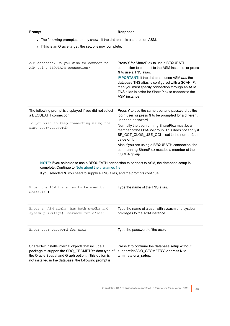| romn |
|------|
|------|

## **Prompt Response**

- The following prompts are only shown if the database is a source on ASM.

- If this is an Oracle target, the setup is now complete.

| ASM detected. Do you wish to connect to<br>ASM using BEQUEATH connection?                                                                                                                                                          | Press Y for SharePlex to use a BEQUEATH<br>connection to connect to the ASM instance, or press<br><b>N</b> to use a TNS alias.<br><b>IMPORTANT!</b> If the database uses ASM and the<br>database TNS alias is configured with a SCAN IP,<br>then you must specify connection through an ASM<br>TNS alias in order for SharePlex to connect to the<br>ASM instance.                                                          |
|------------------------------------------------------------------------------------------------------------------------------------------------------------------------------------------------------------------------------------|-----------------------------------------------------------------------------------------------------------------------------------------------------------------------------------------------------------------------------------------------------------------------------------------------------------------------------------------------------------------------------------------------------------------------------|
| The following prompt is displayed if you did not select<br>a BEQUEATH connection:<br>Do you wish to keep connecting using the<br>same user/password?                                                                               | Press Y to use the same user and password as the<br>login user, or press N to be prompted for a different<br>user and password.<br>Normally the user running SharePlex must be a<br>member of the OSASM group. This does not apply if<br>SP_OCT_OLOG_USE_OCI is set to the non-default<br>value of 1.<br>Also if you are using a BEQUEATH connection, the<br>user running SharePlex must be a member of the<br>OSDBA group. |
| NOTE: If you selected to use a BEQUEATH connection to connect to ASM, the database setup is<br>complete. Continue to Note about the tnsnames file.<br>If you selected N, you need to supply a TNS alias, and the prompts continue. |                                                                                                                                                                                                                                                                                                                                                                                                                             |
| Enter the ASM tns alias to be used by<br>SharePlex:                                                                                                                                                                                | Type the name of the TNS alias.                                                                                                                                                                                                                                                                                                                                                                                             |
| Enter an ASM admin (has both sysdba and<br>sysasm privilege) username for alias:                                                                                                                                                   | Type the name of a user with sysasm and sysdba<br>privileges to the ASM instance.                                                                                                                                                                                                                                                                                                                                           |
| Enter user password for user:                                                                                                                                                                                                      | Type the password of the user.                                                                                                                                                                                                                                                                                                                                                                                              |
| SharePlex installs internal objects that include a<br>package to support the SDO GEOMETRY data type of<br>the Oracle Spatial and Graph option. If this option is<br>not installed in the database, the following prompt is         | Press Y to continue the database setup without<br>support for SDO_GEOMETRY, or press N to<br>terminate ora_setup.                                                                                                                                                                                                                                                                                                           |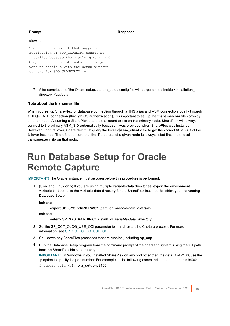### shown:

The SharePlex object that supports replication of SDO\_GEOMETRY cannot be installed because the Oracle Spatial and Graph feature is not installed. Do you want to continue with the setup without support for SDO GEOMETRY? [n]:

7. After completion of the Oracle setup, the ora\_setup.config file will be generated inside <Installation directory>/var/data.

### <span id="page-35-1"></span>**Note about the tnsnames file**

When you set up SharePlex for database connection through a TNS alias and ASM connection locally through a BEQUEATH connection (through OS authentication), it is important to set up the **tnsnames.ora** file correctly on each node. Assuming a SharePlex database account exists on the primary node, SharePlex will always connect to the primary ASM\_SID automatically because it was provided when SharePlex was installed. However, upon failover, SharePlex must query the local **v\$asm\_client** view to get the correct ASM\_SID of the failover instance. Therefore, ensure that the IP address of a given node is always listed first in the local **tnsnames.ora** file on that node.

## <span id="page-35-0"></span>**Run Database Setup for Oracle Remote Capture**

**IMPORTANT!** The Oracle instance must be open before this procedure is performed.

1. (Unix and Linux only) If you are using multiple variable-data directories, export the environment variable that points to the variable-data directory for the SharePlex instance for which you are running Database Setup.

**ksh** shell:

```
export SP_SYS_VARDIR=/full_path_of_variable-data_directory
```
**csh** shell:

```
setenv SP_SYS_VARDIR=/full_path_of_variable-data_directory
```
- 2. Set the SP\_OCT\_OLOG\_USE\_OCI parameter to 1 and restart the Capture process. For more information, see SP\_OCT\_OLOG\_USE\_OCI.
- 3. Shut down any SharePlex processes that are running, including **sp\_cop**.
- 4. Run the Database Setup program from the command prompt of the operating system, using the full path from the SharePlex **bin** subdirectory.

**IMPORTANT!** On Windows, if you installed SharePlex on any port other than the default of 2100, use the **-p** option to specify the port number. For example, in the following command the port number is 9400: C:\users\splex\bin>**ora\_setup -p9400**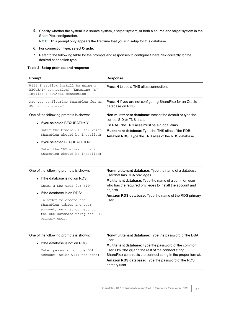5. Specify whether the system is a source system, a target system, or both a source and target system in the SharePlex configuration.

**NOTE**: This prompt only appears the first time that you run setup for this database.

- 6. For connection type, select **Oracle**.
- 7. Refer to the following table for the prompts and responses to configure SharePlex correctly for the desired connection type.

### **Table 2: Setup prompts and response**

| <b>Prompt</b>                                                                                                                                                                                                                                            | <b>Response</b>                                                                                                                                                                                                                                                            |
|----------------------------------------------------------------------------------------------------------------------------------------------------------------------------------------------------------------------------------------------------------|----------------------------------------------------------------------------------------------------------------------------------------------------------------------------------------------------------------------------------------------------------------------------|
| Will SharePlex install be using a<br>BEQUEATH connection? (Entering 'n'<br>implies a SQL*net connection):                                                                                                                                                | Press N to use a TNS alias connection.                                                                                                                                                                                                                                     |
| Are you configuring SharePlex for an<br>AWS RDS database?                                                                                                                                                                                                | Press N if you are not configuring SharePlex for an Oracle<br>database on RDS.                                                                                                                                                                                             |
| One of the following prompts is shown:<br>• If you selected BEQUEATH= $Y$ :<br>Enter the Oracle SID for which<br>SharePlex should be installed:<br>• If you selected BEQUEATH = $N$ :<br>Enter the TNS alias for which<br>SharePlex should be installed: | <b>Non-multitenant database:</b> Accept the default or type the<br>correct SID or TNS alias.<br>On RAC, the TNS alias must be a global alias.<br><b>Multitenant database:</b> Type the TNS alias of the PDB.<br><b>Amazon RDS:</b> Type the TNS alias of the RDS database. |
|                                                                                                                                                                                                                                                          |                                                                                                                                                                                                                                                                            |

### One of the following prompts is shown:

• If the database is not on RDS:

Enter a DBA user for *SID*:

• If the database is on RDS:

In order to create the SharePlex tables and user account, we must connect to the RDS database using the RDS primary user.

**Non-multitenant database**: Type the name of a database user that has DBA privileges.

**Multitenant database**: Type the name of a common user who has the required privileges to install the account and objects.

**Amazon RDS database:** Type the name of the RDS primary user.

• If the database is not on RDS:

Enter password for the DBA account, which will not echo: **Non-multitenant database**: Type the password of the DBA user.

**Multitenant database**: Type the password of the common user. Omit the @ and the rest of the connect string. SharePlex constructs the connect string in the proper format. **Amazon RDS database:** Type the password of the RDS primary user.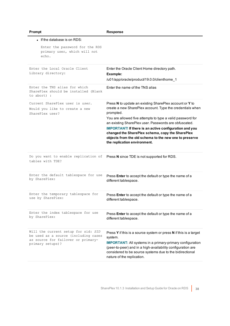| $\bullet$ If the database is on RDS:                                                                                                  |                                                                                                                                                                                                                                                                                                                                                                                                                                                                         |
|---------------------------------------------------------------------------------------------------------------------------------------|-------------------------------------------------------------------------------------------------------------------------------------------------------------------------------------------------------------------------------------------------------------------------------------------------------------------------------------------------------------------------------------------------------------------------------------------------------------------------|
| Enter the password for the RDS<br>primary user, which will not<br>echo.                                                               |                                                                                                                                                                                                                                                                                                                                                                                                                                                                         |
| Enter the Local Oracle Client<br>Library directory:                                                                                   | Enter the Oracle Client Home directory path.<br>Example:<br>/u01/app/oracle/product/19.0.0/clienthome_1                                                                                                                                                                                                                                                                                                                                                                 |
| Enter the TNS alias for which<br>SharePlex should be installed (Blank<br>to abort) :                                                  | Fnter the name of the TNS alias                                                                                                                                                                                                                                                                                                                                                                                                                                         |
| Current SharePlex user is user.<br>Would you like to create a new<br>SharePlex user?                                                  | Press N to update an existing SharePlex account or Y to<br>create a new SharePlex account. Type the credentials when<br>prompted.<br>You are allowed five attempts to type a valid password for<br>an existing SharePlex user. Passwords are obfuscated.<br><b>IMPORTANT!</b> If there is an active configuration and you<br>changed the SharePlex schema, copy the SharePlex<br>objects from the old schema to the new one to preserve<br>the replication environment. |
| Do you want to enable replication of<br>tables with TDE?                                                                              | Press N since TDE is not supported for RDS.                                                                                                                                                                                                                                                                                                                                                                                                                             |
| Enter the default tablespace for use<br>by SharePlex:                                                                                 | Press Enter to accept the default or type the name of a<br>different tablespace.                                                                                                                                                                                                                                                                                                                                                                                        |
| Enter the temporary tablespace for<br>use by SharePlex:                                                                               | Press Enter to accept the default or type the name of a<br>different tablespace.                                                                                                                                                                                                                                                                                                                                                                                        |
| Enter the index tablespace for use<br>by SharePlex:                                                                                   | Press Enter to accept the default or type the name of a<br>different tablespace.                                                                                                                                                                                                                                                                                                                                                                                        |
| Will the current setup for sid: SID<br>be used as a source (including cases<br>as source for failover or primary-<br>primary setups)? | Press Y if this is a source system or press N if this is a target<br>system.<br><b>IMPORTANT:</b> All systems in a primary-primary configuration<br>(peer-to-peer) and in a high-availability configuration are<br>considered to be source systems due to the bidirectional<br>nature of the replication.                                                                                                                                                               |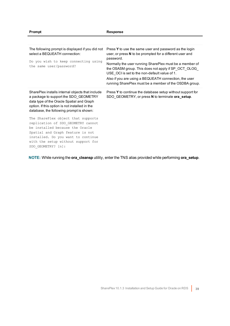| The following prompt is displayed if you did not<br>select a BEQUEATH connection:<br>Do you wish to keep connecting using<br>the same user/password?                                                                                              | Press Y to use the same user and password as the login<br>user, or press N to be prompted for a different user and<br>password.<br>Normally the user running SharePlex must be a member of<br>the OSASM group. This does not apply if SP_OCT_OLOG_<br>USE OCI is set to the non-default value of 1.<br>Also if you are using a BEQUEATH connection, the user<br>running SharePlex must be a member of the OSDBA group. |
|---------------------------------------------------------------------------------------------------------------------------------------------------------------------------------------------------------------------------------------------------|------------------------------------------------------------------------------------------------------------------------------------------------------------------------------------------------------------------------------------------------------------------------------------------------------------------------------------------------------------------------------------------------------------------------|
| SharePlex installs internal objects that include<br>a package to support the SDO GEOMETRY<br>data type of the Oracle Spatial and Graph<br>option. If this option is not installed in the<br>database, the following prompt is shown:              | Press Y to continue the database setup without support for<br>SDO GEOMETRY, or press N to terminate ora_setup.                                                                                                                                                                                                                                                                                                         |
| The SharePlex object that supports<br>replication of SDO_GEOMETRY cannot<br>be installed because the Oracle<br>Spatial and Graph feature is not<br>installed. Do you want to continue<br>with the setup without support for<br>SDO GEOMETRY? [n]: |                                                                                                                                                                                                                                                                                                                                                                                                                        |

**NOTE:** While running the **ora\_cleansp** utility, enter the TNS alias provided while performing **ora\_setup**.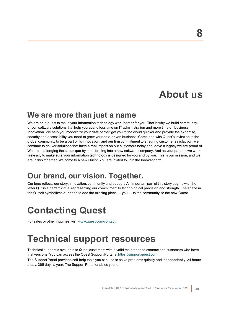## **About us**

## <span id="page-39-0"></span>**We are more than just a name**

We are on a quest to make your information technology work harder for you. That is why we build communitydriven software solutions that help you spend less time on IT administration and more time on business innovation. We help you modernize your data center, get you to the cloud quicker and provide the expertise, security and accessibility you need to grow your data-driven business. Combined with Quest's invitation to the global community to be a part of its innovation, and our firm commitment to ensuring customer satisfaction, we continue to deliver solutions that have a real impact on our customers today and leave a legacy we are proud of. We are challenging the status quo by transforming into a new software company. And as your partner, we work tirelessly to make sure your information technology is designed for you and by you. This is our mission, and we are in this together. Welcome to a new Quest. You are invited to Join the Innovation™.

## **Our brand, our vision. Together.**

Our logo reflects our story: innovation, community and support. An important part of this story begins with the letter Q. It is a perfect circle, representing our commitment to technological precision and strength. The space in the Q itself symbolizes our need to add the missing piece — you — to the community, to the new Quest.

## <span id="page-39-1"></span>**Contacting Quest**

<span id="page-39-2"></span>For sales or other inquiries, visit [www.quest.com/contact](https://www.quest.com/contact).

## **Technical support resources**

Technical support is available to Quest customers with a valid maintenance contract and customers who have trial versions. You can access the Quest Support Portal at [https://support.quest.com](https://support.quest.com/).

The Support Portal provides self-help tools you can use to solve problems quickly and independently, 24 hours a day, 365 days a year. The Support Portal enables you to: